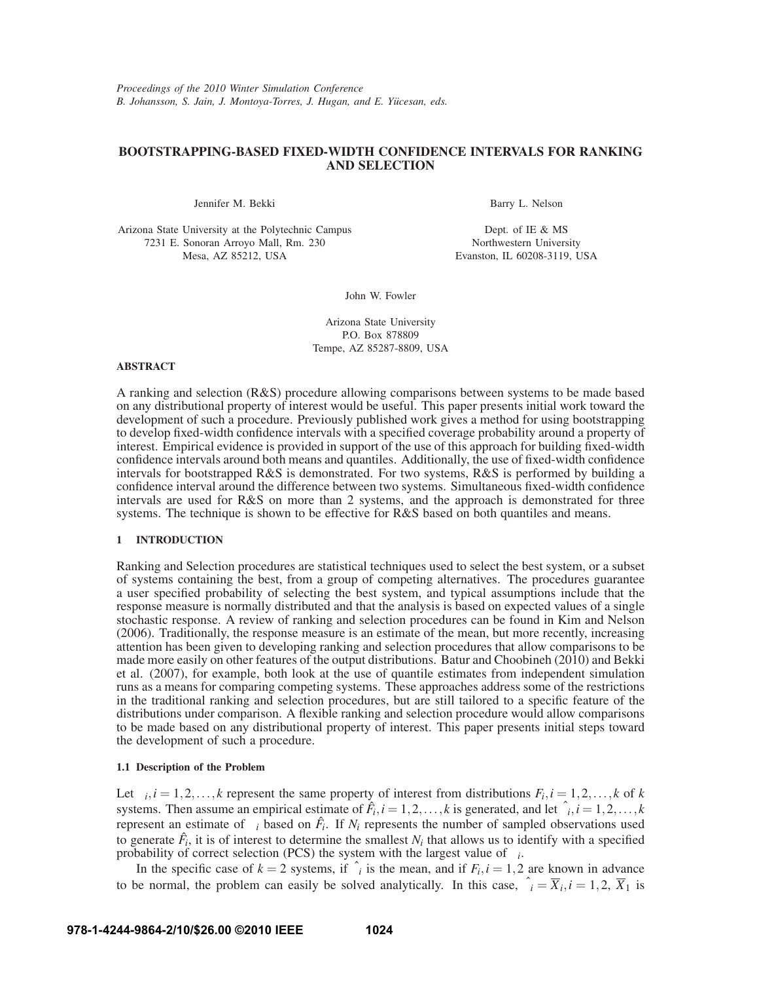# **BOOTSTRAPPING-BASED FIXED-WIDTH CONFIDENCE INTERVALS FOR RANKING AND SELECTION**

Jennifer M. Bekki

Arizona State University at the Polytechnic Campus 7231 E. Sonoran Arroyo Mall, Rm. 230 Mesa, AZ 85212, USA

Barry L. Nelson

Dept. of IE & MS Northwestern University Evanston, IL 60208-3119, USA

John W. Fowler

Arizona State University P.O. Box 878809 Tempe, AZ 85287-8809, USA

### **ABSTRACT**

A ranking and selection (R&S) procedure allowing comparisons between systems to be made based on any distributional property of interest would be useful. This paper presents initial work toward the development of such a procedure. Previously published work gives a method for using bootstrapping to develop fixed-width confidence intervals with a specified coverage probability around a property of interest. Empirical evidence is provided in support of the use of this approach for building fixed-width confidence intervals around both means and quantiles. Additionally, the use of fixed-width confidence intervals for bootstrapped R&S is demonstrated. For two systems, R&S is performed by building a confidence interval around the difference between two systems. Simultaneous fixed-width confidence intervals are used for R&S on more than 2 systems, and the approach is demonstrated for three systems. The technique is shown to be effective for R&S based on both quantiles and means.

# **1 INTRODUCTION**

Ranking and Selection procedures are statistical techniques used to select the best system, or a subset of systems containing the best, from a group of competing alternatives. The procedures guarantee a user specified probability of selecting the best system, and typical assumptions include that the response measure is normally distributed and that the analysis is based on expected values of a single stochastic response. A review of ranking and selection procedures can be found in Kim and Nelson (2006). Traditionally, the response measure is an estimate of the mean, but more recently, increasing attention has been given to developing ranking and selection procedures that allow comparisons to be made more easily on other features of the output distributions. Batur and Choobineh (2010) and Bekki et al. (2007), for example, both look at the use of quantile estimates from independent simulation runs as a means for comparing competing systems. These approaches address some of the restrictions in the traditional ranking and selection procedures, but are still tailored to a specific feature of the distributions under comparison. A flexible ranking and selection procedure would allow comparisons to be made based on any distributional property of interest. This paper presents initial steps toward the development of such a procedure.

# **1.1 Description of the Problem**

Let  $\theta_i$ ,  $i = 1, 2, \ldots, k$  represent the same property of interest from distributions  $F_i$ ,  $i = 1, 2, \ldots, k$  of  $k$ systems. Then assume an empirical estimate of  $\hat{F}_i$ ,  $i = 1, 2, \dots, k$  is generated, and let  $\hat{\theta}_i$ ,  $i = 1, 2, \dots, k$ represent an estimate of  $\theta_i$  based on  $\hat{F}_i$ . If  $N_i$  represents the number of sampled observations used to generate  $\hat{F}_i$ , it is of interest to determine the smallest  $N_i$  that allows us to identify with a specified probability of correct selection (PCS) the system with the largest value of  $\theta_i$ .

In the specific case of  $k = 2$  systems, if  $\hat{\theta}_i$  is the mean, and if  $F_i$ ,  $i = 1, 2$  are known in advance to be normal, the problem can easily be solved analytically. In this case,  $\hat{\theta}_i = \overline{X}_i, i = 1, 2, \overline{X}_1$  is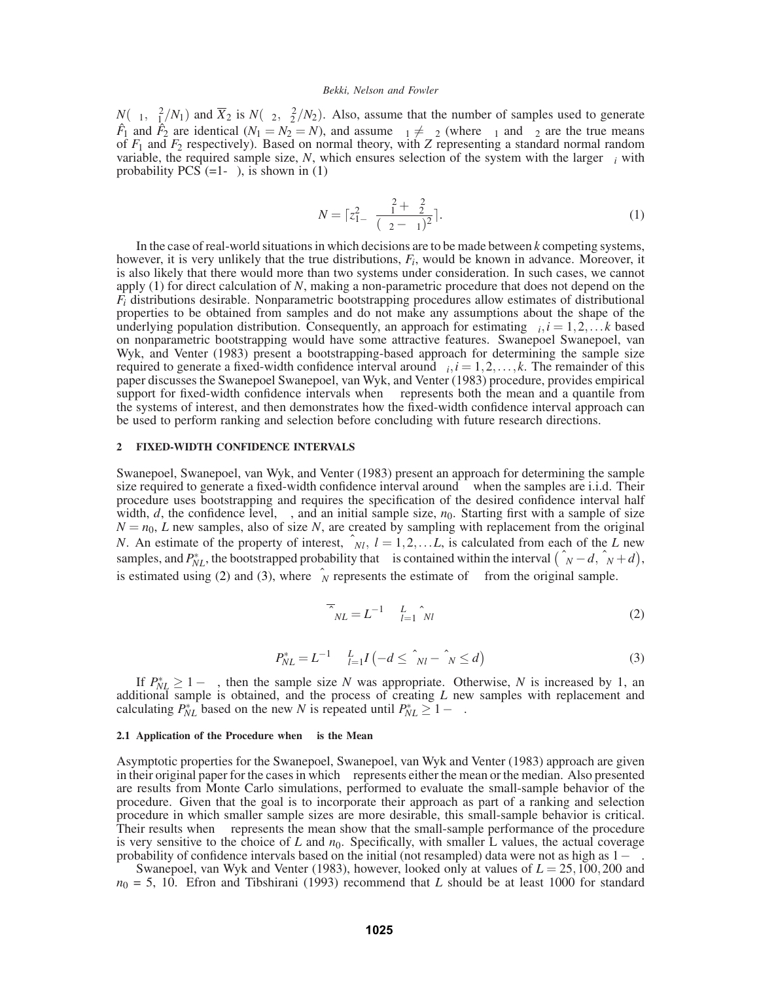$N(\mu_1, \sigma_1^2/N_1)$  and  $\overline{X}_2$  is  $N(\mu_2, \sigma_2^2/N_2)$ . Also, assume that the number of samples used to generate  $\hat{F}_1$  and  $\hat{F}_2$  are identical  $(N_1 = N_2 = N)$ , and assume  $\mu_1 \neq \mu_2$  (where  $\mu_1$  and  $\mu_2$  are the true means of *F*<sup>1</sup> and *F*<sup>2</sup> respectively). Based on normal theory, with *Z* representing a standard normal random variable, the required sample size, N, which ensures selection of the system with the larger  $\theta_i$  with probability PCS  $(=1-\alpha)$ , is shown in (1)

$$
N = \lceil z_{1-\alpha}^2 \frac{\sigma_1^2 + \sigma_2^2}{(\mu_2 - \mu_1)^2} \rceil.
$$
 (1)

In the case of real-world situations in which decisions are to be made between *k* competing systems, however, it is very unlikely that the true distributions, *Fi*, would be known in advance. Moreover, it is also likely that there would more than two systems under consideration. In such cases, we cannot apply (1) for direct calculation of *N*, making a non-parametric procedure that does not depend on the *Fi* distributions desirable. Nonparametric bootstrapping procedures allow estimates of distributional properties to be obtained from samples and do not make any assumptions about the shape of the underlying population distribution. Consequently, an approach for estimating  $\theta_i$ ,  $i = 1, 2, \ldots k$  based on nonparametric bootstrapping would have some attractive features. Swanepoel Swanepoel, van Wyk, and Venter (1983) present a bootstrapping-based approach for determining the sample size required to generate a fixed-width confidence interval around  $\theta_i$ ,  $i = 1, 2, \dots, k$ . The remainder of this paper discusses the Swanepoel Swanepoel, van Wyk, and Venter (1983) procedure, provides empirical support for fixed-width confidence intervals when  $\theta$  represents both the mean and a quantile from the systems of interest, and then demonstrates how the fixed-width confidence interval approach can be used to perform ranking and selection before concluding with future research directions.

### **2 FIXED-WIDTH CONFIDENCE INTERVALS**

Swanepoel, Swanepoel, van Wyk, and Venter (1983) present an approach for determining the sample size required to generate a fixed-width confidence interval around  $\theta$  when the samples are i.i.d. Their procedure uses bootstrapping and requires the specification of the desired confidence interval half width, *d*, the confidence level,  $\alpha$ , and an initial sample size,  $n_0$ . Starting first with a sample of size  $N = n_0$ , *L* new samples, also of size *N*, are created by sampling with replacement from the original *N*. An estimate of the property of interest,  $\hat{\theta}_{Nl}$ ,  $l = 1, 2, \ldots L$ , is calculated from each of the *L* new samples, and  $P_{NL}^*$ , the bootstrapped probability that  $\theta$  is contained within the interval  $(\hat{\theta}_N - d, \hat{\theta}_N + d)$ , is estimated using (2) and (3), where  $\hat{\theta}_N$  represents the estimate of  $\theta$  from the original sample.

$$
\overline{\hat{\theta}}_{NL} = L^{-1} \sum_{l=1}^{L} \hat{\theta}_{Nl}
$$
 (2)

$$
P_{NL}^* = L^{-1} \sum_{l=1}^{L} I(-d \le \hat{\theta}_{Nl} - \hat{\theta}_N \le d)
$$
 (3)

If  $P_{NL}^* \ge 1 - \alpha$ , then the sample size *N* was appropriate. Otherwise, *N* is increased by 1, and additional sample is obtained, and the process of creating *L* new samples with replacement and calculating  $P_{NL}^*$  based on the new *N* is repeated until  $P_{NL}^* \geq 1 - \alpha$ .

### **2.1 Application of the Procedure when** θ **is the Mean**

Asymptotic properties for the Swanepoel, Swanepoel, van Wyk and Venter (1983) approach are given in their original paper for the cases in which  $\theta$  represents either the mean or the median. Also presented are results from Monte Carlo simulations, performed to evaluate the small-sample behavior of the procedure. Given that the goal is to incorporate their approach as part of a ranking and selection procedure in which smaller sample sizes are more desirable, this small-sample behavior is critical. Their results when  $\theta$  represents the mean show that the small-sample performance of the procedure is very sensitive to the choice of  $L$  and  $n_0$ . Specifically, with smaller  $\tilde{L}$  values, the actual coverage probability of confidence intervals based on the initial (not resampled) data were not as high as  $1-\alpha$ .

Swanepoel, van Wyk and Venter (1983), however, looked only at values of *L* = 25,100,200 and *n*<sup>0</sup> = 5, 10. Efron and Tibshirani (1993) recommend that *L* should be at least 1000 for standard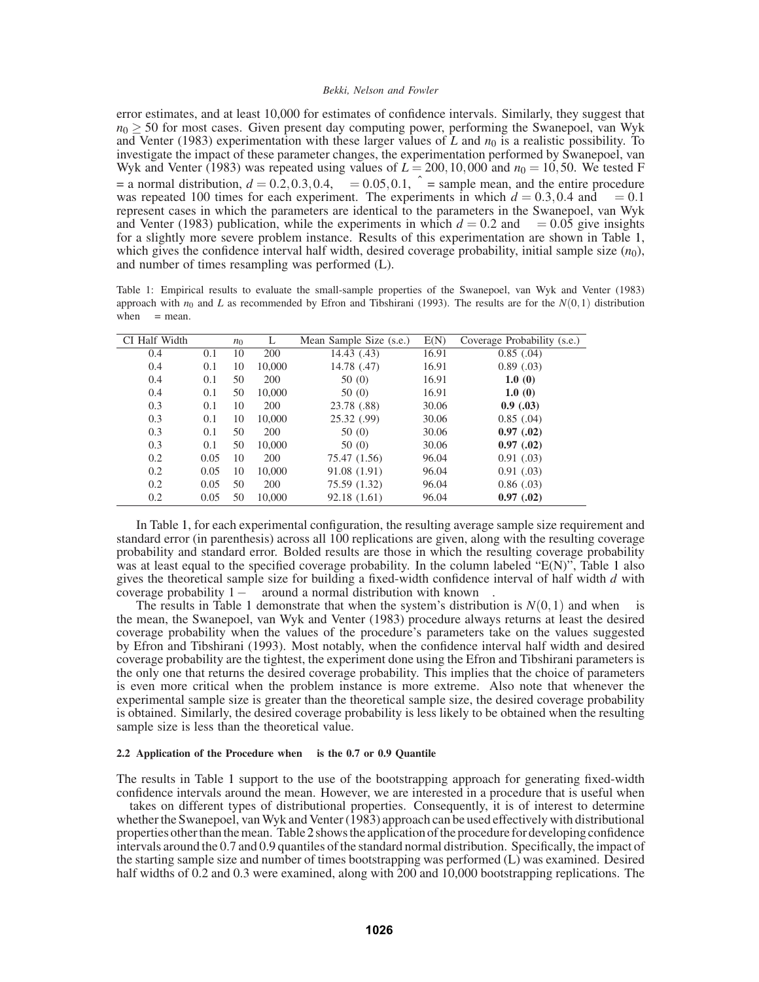error estimates, and at least 10,000 for estimates of confidence intervals. Similarly, they suggest that  $n_0 \geq 50$  for most cases. Given present day computing power, performing the Swanepoel, van Wyk and Venter (1983) experimentation with these larger values of *L* and  $n_0$  is a realistic possibility. To investigate the impact of these parameter changes, the experimentation performed by Swanepoel, van Wyk and Venter (1983) was repeated using values of  $L = 200, 10,000$  and  $n_0 = 10, 50$ . We tested F = a normal distribution,  $d = 0.2, 0.3, 0.4, \alpha = 0.05, 0.1, \hat{\theta}$  = sample mean, and the entire procedure was repeated 100 times for each experiment. The experiments in which  $d = 0.3, 0.4$  and  $\alpha = 0.1$ represent cases in which the parameters are identical to the parameters in the Swanepoel, van Wyk and Venter (1983) publication, while the experiments in which  $d = 0.2$  and  $\alpha = 0.05$  give insights for a slightly more severe problem instance. Results of this experimentation are shown in Table 1, which gives the confidence interval half width, desired coverage probability, initial sample size  $(n_0)$ , and number of times resampling was performed (L).

Table 1: Empirical results to evaluate the small-sample properties of the Swanepoel, van Wyk and Venter (1983) approach with  $n_0$  and *L* as recommended by Efron and Tibshirani (1993). The results are for the  $N(0,1)$  distribution when  $\theta$  = mean.

| CI Half Width | $\alpha$ | $n_0$ | L          | Mean Sample Size (s.e.) | E(N)  | Coverage Probability (s.e.) |
|---------------|----------|-------|------------|-------------------------|-------|-----------------------------|
| 0.4           | 0.1      | 10    | 200        | 14.43 (.43)             | 16.91 | 0.85(0.04)                  |
| 0.4           | 0.1      | 10    | 10,000     | 14.78 (.47)             | 16.91 | 0.89(0.03)                  |
| 0.4           | 0.1      | 50    | <b>200</b> | 50(0)                   | 16.91 | 1.0(0)                      |
| 0.4           | 0.1      | 50    | 10,000     | 50(0)                   | 16.91 | 1.0(0)                      |
| 0.3           | 0.1      | 10    | 200        | 23.78 (.88)             | 30.06 | 0.9(0.03)                   |
| 0.3           | 0.1      | 10    | 10,000     | 25.32 (.99)             | 30.06 | 0.85(0.04)                  |
| 0.3           | 0.1      | 50    | <b>200</b> | 50(0)                   | 30.06 | 0.97(0.02)                  |
| 0.3           | 0.1      | 50    | 10,000     | 50(0)                   | 30.06 | 0.97(0.02)                  |
| 0.2           | 0.05     | 10    | 200        | 75.47 (1.56)            | 96.04 | 0.91(0.03)                  |
| 0.2           | 0.05     | 10    | 10,000     | 91.08 (1.91)            | 96.04 | 0.91(0.03)                  |
| 0.2           | 0.05     | 50    | 200        | 75.59 (1.32)            | 96.04 | 0.86(0.03)                  |
| 0.2           | 0.05     | 50    | 10,000     | 92.18(1.61)             | 96.04 | 0.97(0.02)                  |

In Table 1, for each experimental configuration, the resulting average sample size requirement and standard error (in parenthesis) across all 100 replications are given, along with the resulting coverage probability and standard error. Bolded results are those in which the resulting coverage probability was at least equal to the specified coverage probability. In the column labeled "E(N)", Table 1 also gives the theoretical sample size for building a fixed-width confidence interval of half width *d* with coverage probability  $1-\alpha$  around a normal distribution with known  $\sigma$ .

The results in Table 1 demonstrate that when the system's distribution is  $N(0,1)$  and when  $\theta$  is the mean, the Swanepoel, van Wyk and Venter (1983) procedure always returns at least the desired coverage probability when the values of the procedure's parameters take on the values suggested by Efron and Tibshirani (1993). Most notably, when the confidence interval half width and desired coverage probability are the tightest, the experiment done using the Efron and Tibshirani parameters is the only one that returns the desired coverage probability. This implies that the choice of parameters is even more critical when the problem instance is more extreme. Also note that whenever the experimental sample size is greater than the theoretical sample size, the desired coverage probability is obtained. Similarly, the desired coverage probability is less likely to be obtained when the resulting sample size is less than the theoretical value.

### **2.2 Application of the Procedure when** θ **is the 0.7 or 0.9 Quantile**

The results in Table 1 support to the use of the bootstrapping approach for generating fixed-width confidence intervals around the mean. However, we are interested in a procedure that is useful when  $\theta$  takes on different types of distributional properties. Consequently, it is of interest to determine whether the Swanepoel, van Wyk and Venter (1983) approach can be used effectively with distributional properties other than the mean. Table 2 shows the application of the procedure for developing confidence intervals around the 0.7 and 0.9 quantiles of the standard normal distribution. Specifically, the impact of the starting sample size and number of times bootstrapping was performed (L) was examined. Desired half widths of 0.2 and 0.3 were examined, along with 200 and 10,000 bootstrapping replications. The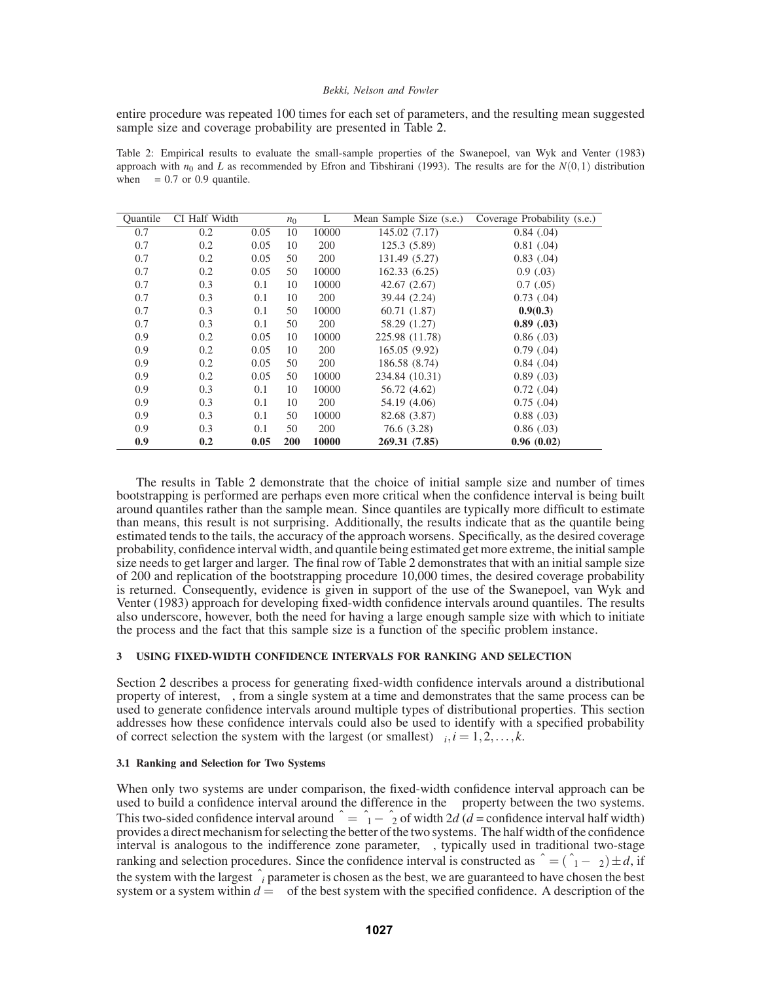entire procedure was repeated 100 times for each set of parameters, and the resulting mean suggested sample size and coverage probability are presented in Table 2.

Table 2: Empirical results to evaluate the small-sample properties of the Swanepoel, van Wyk and Venter (1983) approach with  $n_0$  and *L* as recommended by Efron and Tibshirani (1993). The results are for the  $N(0,1)$  distribution when  $\theta = 0.7$  or 0.9 quantile.

| <b>Ouantile</b> | CI Half Width | $\alpha$ | $n_0$ | L     | Mean Sample Size (s.e.) | Coverage Probability (s.e.) |
|-----------------|---------------|----------|-------|-------|-------------------------|-----------------------------|
| 0.7             | 0.2           | 0.05     | 10    | 10000 | 145.02 (7.17)           | 0.84(0.04)                  |
| 0.7             | 0.2           | 0.05     | 10    | 200   | 125.3(5.89)             | $0.81$ $(.04)$              |
| 0.7             | 0.2           | 0.05     | 50    | 200   | 131.49 (5.27)           | 0.83(0.04)                  |
| 0.7             | 0.2           | 0.05     | 50    | 10000 | 162.33(6.25)            | 0.9(0.03)                   |
| 0.7             | 0.3           | 0.1      | 10    | 10000 | 42.67(2.67)             | 0.7(.05)                    |
| 0.7             | 0.3           | 0.1      | 10    | 200   | 39.44 (2.24)            | 0.73(0.04)                  |
| 0.7             | 0.3           | 0.1      | 50    | 10000 | 60.71 (1.87)            | 0.9(0.3)                    |
| 0.7             | 0.3           | 0.1      | 50    | 200   | 58.29 (1.27)            | 0.89(0.03)                  |
| 0.9             | 0.2           | 0.05     | 10    | 10000 | 225.98 (11.78)          | 0.86(0.03)                  |
| 0.9             | 0.2           | 0.05     | 10    | 200   | 165.05(9.92)            | 0.79(0.04)                  |
| 0.9             | 0.2           | 0.05     | 50    | 200   | 186.58 (8.74)           | 0.84(0.04)                  |
| 0.9             | 0.2           | 0.05     | 50    | 10000 | 234.84 (10.31)          | 0.89(0.03)                  |
| 0.9             | 0.3           | 0.1      | 10    | 10000 | 56.72 (4.62)            | 0.72(0.04)                  |
| 0.9             | 0.3           | 0.1      | 10    | 200   | 54.19 (4.06)            | 0.75(.04)                   |
| 0.9             | 0.3           | 0.1      | 50    | 10000 | 82.68 (3.87)            | 0.88(0.03)                  |
| 0.9             | 0.3           | 0.1      | 50    | 200   | 76.6 (3.28)             | 0.86(0.03)                  |
| 0.9             | 0.2           | 0.05     | 200   | 10000 | 269.31 (7.85)           | 0.96(0.02)                  |

The results in Table 2 demonstrate that the choice of initial sample size and number of times bootstrapping is performed are perhaps even more critical when the confidence interval is being built around quantiles rather than the sample mean. Since quantiles are typically more difficult to estimate than means, this result is not surprising. Additionally, the results indicate that as the quantile being estimated tends to the tails, the accuracy of the approach worsens. Specifically, as the desired coverage probability, confidence interval width, and quantile being estimated get more extreme, the initial sample size needs to get larger and larger. The final row of Table 2 demonstrates that with an initial sample size of 200 and replication of the bootstrapping procedure 10,000 times, the desired coverage probability is returned. Consequently, evidence is given in support of the use of the Swanepoel, van Wyk and Venter (1983) approach for developing fixed-width confidence intervals around quantiles. The results also underscore, however, both the need for having a large enough sample size with which to initiate the process and the fact that this sample size is a function of the specific problem instance.

# **3 USING FIXED-WIDTH CONFIDENCE INTERVALS FOR RANKING AND SELECTION**

Section 2 describes a process for generating fixed-width confidence intervals around a distributional property of interest,  $\theta$ , from a single system at a time and demonstrates that the same process can be used to generate confidence intervals around multiple types of distributional properties. This section addresses how these confidence intervals could also be used to identify with a specified probability of correct selection the system with the largest (or smallest)  $\theta_i$ ,  $i = 1, 2, \ldots, k$ .

## **3.1 Ranking and Selection for Two Systems**

When only two systems are under comparison, the fixed-width confidence interval approach can be used to build a confidence interval around the difference in the  $\theta$  property between the two systems. This two-sided confidence interval around  $\hat{\theta} = \hat{\theta}_1 - \hat{\theta}_2$  of width  $2d$  ( $d$  = confidence interval half width) provides a direct mechanism for selecting the better of the two systems. The half width of the confidence interval is analogous to the indifference zone parameter,  $\delta$ , typically used in traditional two-stage ranking and selection procedures. Since the confidence interval is constructed as  $\hat{\theta} = (\hat{\theta}_1 - \theta_2) \pm d$ , if the system with the largest  $\hat{\theta}_i$  parameter is chosen as the best, we are guaranteed to have chosen the best system or a system within  $d = \delta$  of the best system with the specified confidence. A description of the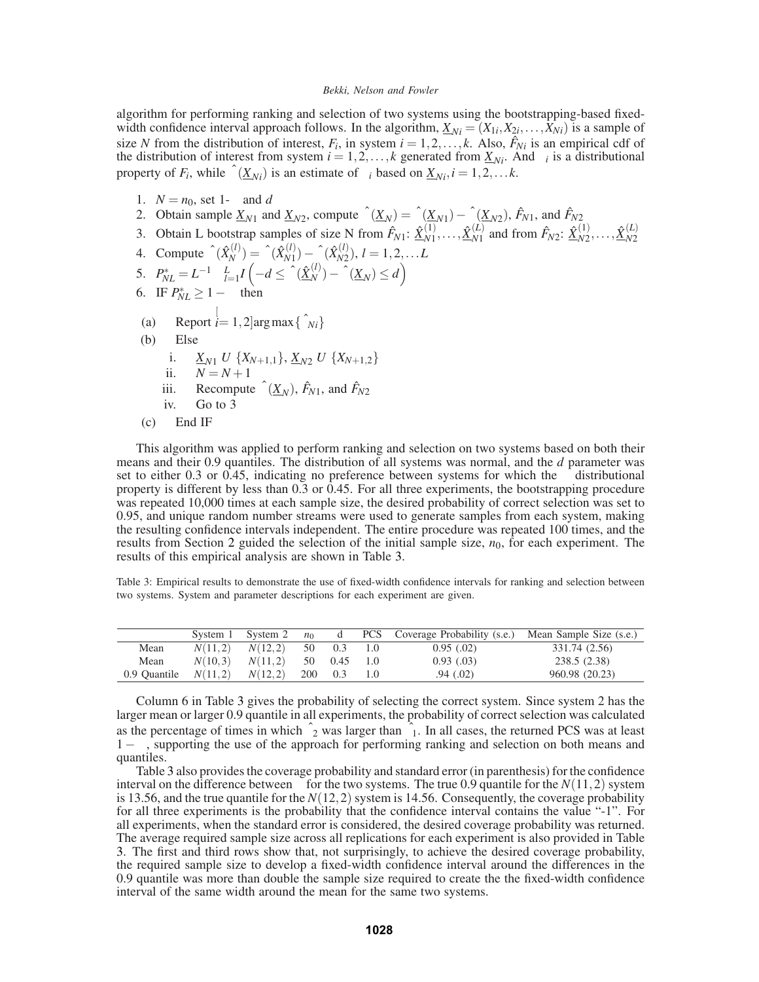algorithm for performing ranking and selection of two systems using the bootstrapping-based fixedwidth confidence interval approach follows. In the algorithm,  $\underline{X}_{Ni} = (X_{1i}, X_{2i}, \dots, X_{Ni})$  is a sample of size *N* from the distribution of interest,  $F_i$ , in system  $i = 1, 2, \ldots, k$ . Also,  $\hat{F}_{Ni}$  is an empirical cdf of the distribution of interest from system  $i = 1, 2, ..., k$  generated from  $\underline{X}_{Ni}$ . And  $\theta_i$  is a distributional property of  $F_i$ , while  $\hat{\theta}(\underline{X}_{Ni})$  is an estimate of  $\theta_i$  based on  $\underline{X}_{Ni}$ ,  $i = 1, 2, \dots k$ .

- 1.  $N = n_0$ , set 1- $\alpha$  and *d*
- 2. Obtain sample  $\underline{X}_{N1}$  and  $\underline{X}_{N2}$ , compute  $\hat{\theta}(\underline{X}_N) = \hat{\theta}(\underline{X}_{N1}) \hat{\theta}(\underline{X}_{N2})$ ,  $\hat{F}_{N1}$ , and  $\hat{F}_{N2}$
- 3. Obtain L bootstrap samples of size N from  $\hat{F}_{N1}$ :  $\underline{\hat{X}}_{N1}^{(1)}$ , ...,  $\underline{\hat{X}}_{N1}^{(L)}$  and from  $\hat{F}_{N2}$ :  $\underline{\hat{X}}_{N2}^{(1)}$ , ...,  $\underline{\hat{X}}_{N2}^{(L)}$ <br>4. Compute  $\hat{\theta}(\hat{X}_{N}^{(l)}) = \hat{\theta}(\hat{X}_{N1}^{(l)}) \hat{\theta}(\hat{$
- 
- 5.  $P_{NL}^* = L^{-1} \sum_{l=1}^{L} I \left( -d \leq \hat{\theta}(\hat{\underline{X}}_N^{(l)}) \hat{\theta}(\underline{X}_N) \leq d \right)$
- 6. IF  $P_{NL}^* \geq 1 \alpha$  then
- (a) Report  $\overline{i} = 1, 2$  arg max  $\{\hat{\theta}_{Ni}\}$
- (b) Else
	- i.  $\underline{X}_{N1} U \{X_{N+1,1}\}, \underline{X}_{N2} U \{X_{N+1,2}\}\$
	- ii.  $N = N + 1$
	- iii. Recompute  $\hat{\theta}(\underline{X}_N)$ ,  $\hat{F}_{N1}$ , and  $\hat{F}_{N2}$
	- iv. Go to 3
- (c) End IF

This algorithm was applied to perform ranking and selection on two systems based on both their means and their 0.9 quantiles. The distribution of all systems was normal, and the *d* parameter was set to either 0.3 or 0.45, indicating no preference between systems for which the  $\theta$  distributional property is different by less than 0.3 or 0.45. For all three experiments, the bootstrapping procedure was repeated 10,000 times at each sample size, the desired probability of correct selection was set to 0.95, and unique random number streams were used to generate samples from each system, making the resulting confidence intervals independent. The entire procedure was repeated 100 times, and the results from Section 2 guided the selection of the initial sample size, *n*0, for each experiment. The results of this empirical analysis are shown in Table 3.

Table 3: Empirical results to demonstrate the use of fixed-width confidence intervals for ranking and selection between two systems. System and parameter descriptions for each experiment are given.

| θ            |          | System 1 System 2 | $n_0$ | d       | PCS Coverage Probability (s.e.) | Mean Sample Size (s.e.) |
|--------------|----------|-------------------|-------|---------|---------------------------------|-------------------------|
| Mean         | N(11,2)  | N(12,2)           | 50    | 0.3     | 0.95(0.02)                      | 331.74 (2.56)           |
| Mean         | N(10, 3) | N(11,2)           |       | 50 0.45 | 0.93(0.03)                      | 238.5(2.38)             |
| 0.9 Ouantile | N(11,2)  | N(12,2)           | 200   | 0.3     | $.94 \; (.02)$                  | 960.98 (20.23)          |

Column 6 in Table 3 gives the probability of selecting the correct system. Since system 2 has the larger mean or larger 0.9 quantile in all experiments, the probability of correct selection was calculated as the percentage of times in which  $\hat{\theta}_2$  was larger than  $\hat{\theta}_1$ . In all cases, the returned PCS was at least  $1-\alpha$ , supporting the use of the approach for performing ranking and selection on both means and quantiles.

Table 3 also provides the coverage probability and standard error (in parenthesis) for the confidence interval on the difference between  $\theta$  for the two systems. The true 0.9 quantile for the  $N(11,2)$  system is 13.56, and the true quantile for the  $N(12,2)$  system is 14.56. Consequently, the coverage probability for all three experiments is the probability that the confidence interval contains the value "-1". For all experiments, when the standard error is considered, the desired coverage probability was returned. The average required sample size across all replications for each experiment is also provided in Table 3. The first and third rows show that, not surprisingly, to achieve the desired coverage probability, the required sample size to develop a fixed-width confidence interval around the differences in the 0.9 quantile was more than double the sample size required to create the the fixed-width confidence interval of the same width around the mean for the same two systems.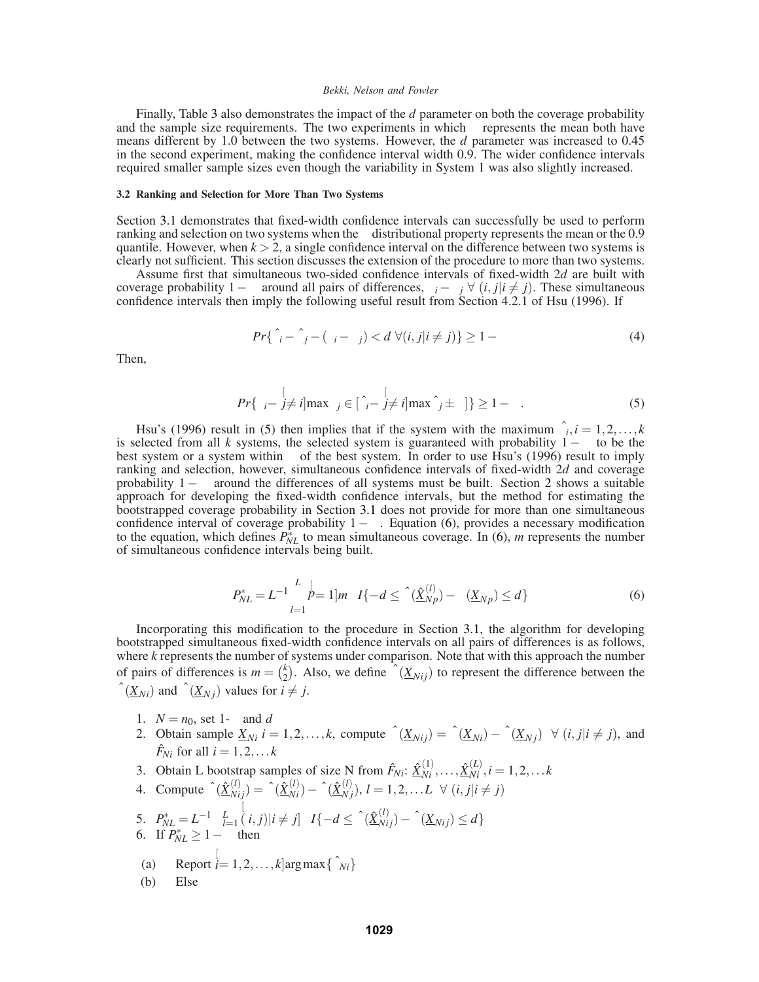Finally, Table 3 also demonstrates the impact of the *d* parameter on both the coverage probability and the sample size requirements. The two experiments in which  $\theta$  represents the mean both have means different by 1.0 between the two systems. However, the *d* parameter was increased to 0.45 in the second experiment, making the confidence interval width 0.9. The wider confidence intervals required smaller sample sizes even though the variability in System 1 was also slightly increased.

### **3.2 Ranking and Selection for More Than Two Systems**

Section 3.1 demonstrates that fixed-width confidence intervals can successfully be used to perform ranking and selection on two systems when the  $\theta$  distributional property represents the mean or the 0.9 quantile. However, when  $k > 2$ , a single confidence interval on the difference between two systems is clearly not sufficient. This section discusses the extension of the procedure to more than two systems.

Assume first that simultaneous two-sided confidence intervals of fixed-width 2*d* are built with coverage probability 1 –  $\alpha$  around all pairs of differences,  $\theta_i - \theta_j \ \forall \ (i, j | i \neq j)$ . These simultaneous confidence intervals then imply the following useful result from Section 4.2.1 of Hsu (1996). If

$$
Pr{\hat{\theta}_i - \hat{\theta}_j - (\theta_i - \theta_j) < d \,\forall (i, j | i \neq j)} \ge 1 - \alpha \tag{4}
$$

Then,

$$
Pr{\theta_i - j \neq i | \max \theta_j \in [\hat{\theta}_i - j \neq i] \max \hat{\theta}_j \pm \delta]} \ge 1 - \alpha.
$$
 (5)

Hsu's (1996) result in (5) then implies that if the system with the maximum  $\hat{\theta}_i$ ,  $i = 1, 2, \dots, k$ is selected from all *k* systems, the selected system is guaranteed with probability  $1 - \alpha$  to be the best system or a system within  $\delta$  of the best system. In order to use Hsu's (1996) result to imply ranking and selection, however, simultaneous confidence intervals of fixed-width 2*d* and coverage probability  $1 - \alpha$  around the differences of all systems must be built. Section 2 shows a suitable approach for developing the fixed-width confidence intervals, but the method for estimating the bootstrapped coverage probability in Section 3.1 does not provide for more than one simultaneous confidence interval of coverage probability  $1-\alpha$ . Equation (6), provides a necessary modification to the equation, which defines  $P_{NL}^{*}$  to mean simultaneous coverage. In (6), *m* represents the number of simultaneous confidence intervals being built.

$$
P_{NL}^* = L^{-1} \sum_{l=1}^{L} \stackrel[p=1]{m\Pi}{I} \{-d \leq \hat{\theta}(\hat{\underline{X}}_{Np}^{(l)}) - \theta(\underline{X}_{Np}) \leq d\}
$$
(6)

Incorporating this modification to the procedure in Section 3.1, the algorithm for developing bootstrapped simultaneous fixed-width confidence intervals on all pairs of differences is as follows, where *k* represents the number of systems under comparison. Note that with this approach the number of pairs of differences is  $m = {k \choose 2}$ . Also, we define  $\hat{\theta}(\underline{X}_{Nij})$  to represent the difference between the  $\hat{\theta}(\underline{X}_{Ni})$  and  $\hat{\theta}(\underline{X}_{Ni})$  values for  $i \neq j$ .

- 1.  $N = n_0$ , set 1- $\alpha$  and *d*
- 2. Obtain sample  $\underline{X}_{Ni}$   $i = 1, 2, ..., k$ , compute  $\hat{\theta}(\underline{X}_{Ni}) = \hat{\theta}(\underline{X}_{Ni}) \hat{\theta}(\underline{X}_{Ni}) \quad \forall (i, j | i \neq j)$ , and  $\hat{F}_{Ni}$  for all  $i = 1, 2, \dots k$
- 3. Obtain L bootstrap samples of size N from  $\hat{F}_{Ni}$ :  $\underline{\hat{X}}_{Ni}^{(1)}, \dots, \underline{\hat{X}}_{Ni}^{(L)}, i = 1, 2, \dots k$
- 4. Compute  $\hat{\theta}(\hat{\underline{X}}_{Nij}^{(l)}) = \hat{\theta}(\hat{\underline{X}}_{Ni}^{(l)}) \hat{\theta}(\hat{\underline{X}}_{Nj}^{(l)}), l = 1, 2, ... L \ \forall (i, j | i \neq j)$
- 5.  $P_{NL}^* = L^{-1} \sum_{l=1}^L$  $\{ (i, j) | i \neq j \} \Pi I \{-d \leq \hat{\boldsymbol{\theta}}(\hat{\underline{X}}_{Nij}^{(l)}) - \hat{\boldsymbol{\theta}}(\underline{X}_{Nij}) \leq d \}$ 6. If  $P_{NL}^* \geq 1 - \alpha$  then
- (a) Report  $\overline{i} = 1, 2, ..., k$  arg max  $\{\hat{\theta}_{Ni}\}$
- (b) Else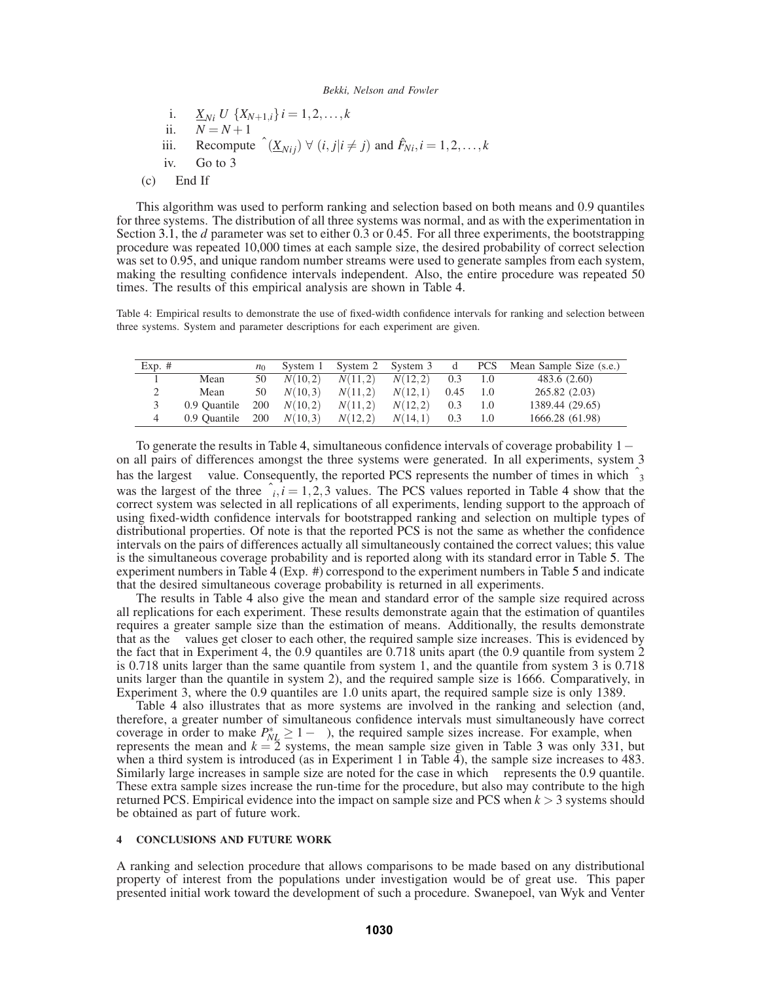i. 
$$
\underline{X}_{Ni} U \{X_{N+1,i}\} i = 1, 2, ..., k
$$
  
\nii.  $N = N+1$   
\niii. Recompute  $\hat{\theta}(\underline{X}_{Nij}) \ \forall \ (i, j | i \neq j)$  and  $\hat{F}_{Ni}, i = 1, 2, ..., k$   
\niv. Go to 3

(c) End If

This algorithm was used to perform ranking and selection based on both means and 0.9 quantiles for three systems. The distribution of all three systems was normal, and as with the experimentation in Section 3.1, the *d* parameter was set to either 0.3 or 0.45. For all three experiments, the bootstrapping procedure was repeated 10,000 times at each sample size, the desired probability of correct selection was set to 0.95, and unique random number streams were used to generate samples from each system, making the resulting confidence intervals independent. Also, the entire procedure was repeated 50 times. The results of this empirical analysis are shown in Table 4.

Table 4: Empirical results to demonstrate the use of fixed-width confidence intervals for ranking and selection between three systems. System and parameter descriptions for each experiment are given.

| $Exp. \#$ |              | $n_0$ | System 1 | System 2 | System 3 | $\cdot$ d $\cdot$ |     | PCS Mean Sample Size (s.e.) |
|-----------|--------------|-------|----------|----------|----------|-------------------|-----|-----------------------------|
|           | Mean         | 50    | N(10,2)  | N(11,2)  | N(12,2)  | 0.3               |     | 483.6 (2.60)                |
|           | Mean         | 50    | N(10, 3) | N(11,2)  | N(12,1)  | 0.45              | 1.0 | 265.82(2.03)                |
|           | 0.9 Ouantile | 200   | N(10,2)  | N(11,2)  | N(12,2)  | 0.3               |     | 1389.44 (29.65)             |
| Δ         | 0.9 Ouantile | 200   | N(10,3)  | N(12,2)  | N(14,1)  | 0.3               | 1.0 | 1666.28 (61.98)             |

To generate the results in Table 4, simultaneous confidence intervals of coverage probability  $1-\alpha$ on all pairs of differences amongst the three systems were generated. In all experiments, system 3 has the largest  $\theta$  value. Consequently, the reported PCS represents the number of times in which  $\hat{\theta}_3$ was the largest of the three  $\hat{\theta}_i$ ,  $i = 1, 2, 3$  values. The PCS values reported in Table 4 show that the correct system was selected in all replications of all experiments, lending support to the approach of using fixed-width confidence intervals for bootstrapped ranking and selection on multiple types of distributional properties. Of note is that the reported PCS is not the same as whether the confidence intervals on the pairs of differences actually all simultaneously contained the correct values; this value is the simultaneous coverage probability and is reported along with its standard error in Table 5. The experiment numbers in Table 4 (Exp. #) correspond to the experiment numbers in Table 5 and indicate that the desired simultaneous coverage probability is returned in all experiments.

The results in Table 4 also give the mean and standard error of the sample size required across all replications for each experiment. These results demonstrate again that the estimation of quantiles requires a greater sample size than the estimation of means. Additionally, the results demonstrate that as the  $\theta$  values get closer to each other, the required sample size increases. This is evidenced by the fact that in Experiment 4, the 0.9 quantiles are 0.718 units apart (the 0.9 quantile from system 2 is 0.718 units larger than the same quantile from system 1, and the quantile from system 3 is 0.718 units larger than the quantile in system 2), and the required sample size is 1666. Comparatively, in Experiment 3, where the 0.9 quantiles are 1.0 units apart, the required sample size is only 1389.

Table 4 also illustrates that as more systems are involved in the ranking and selection (and, therefore, a greater number of simultaneous confidence intervals must simultaneously have correct coverage in order to make  $P_{NL}^* \ge 1 - \alpha$ ), the required sample sizes increase. For example, when  $\theta$ represents the mean and  $k = 2$  systems, the mean sample size given in Table 3 was only 331, but when a third system is introduced (as in Experiment 1 in Table 4), the sample size increases to 483. Similarly large increases in sample size are noted for the case in which  $\theta$  represents the 0.9 quantile. These extra sample sizes increase the run-time for the procedure, but also may contribute to the high returned PCS. Empirical evidence into the impact on sample size and PCS when *k* > 3 systems should be obtained as part of future work.

### **4 CONCLUSIONS AND FUTURE WORK**

A ranking and selection procedure that allows comparisons to be made based on any distributional property of interest from the populations under investigation would be of great use. This paper presented initial work toward the development of such a procedure. Swanepoel, van Wyk and Venter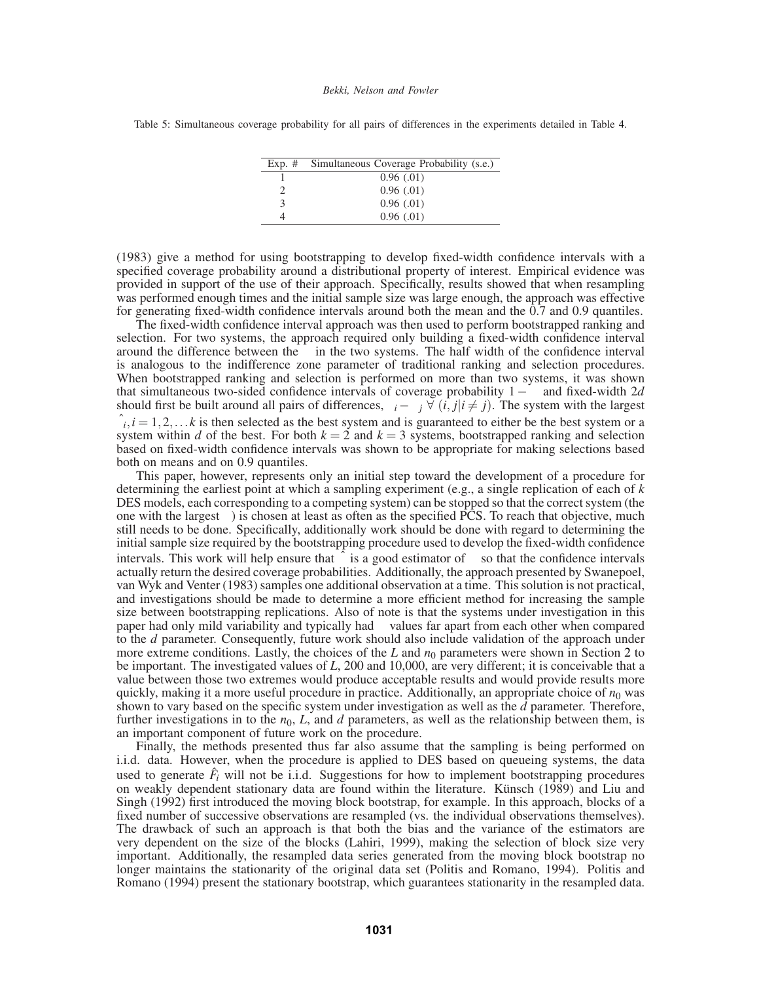|   | Exp. # Simultaneous Coverage Probability (s.e.) |
|---|-------------------------------------------------|
|   | 0.96(0.01)                                      |
|   | 0.96(0.01)                                      |
| 3 | 0.96(0.01)                                      |
|   | 0.96(0.01)                                      |

Table 5: Simultaneous coverage probability for all pairs of differences in the experiments detailed in Table 4.

(1983) give a method for using bootstrapping to develop fixed-width confidence intervals with a specified coverage probability around a distributional property of interest. Empirical evidence was provided in support of the use of their approach. Specifically, results showed that when resampling was performed enough times and the initial sample size was large enough, the approach was effective for generating fixed-width confidence intervals around both the mean and the 0.7 and 0.9 quantiles.

The fixed-width confidence interval approach was then used to perform bootstrapped ranking and selection. For two systems, the approach required only building a fixed-width confidence interval around the difference between the  $\theta$  in the two systems. The half width of the confidence interval is analogous to the indifference zone parameter of traditional ranking and selection procedures. When bootstrapped ranking and selection is performed on more than two systems, it was shown that simultaneous two-sided confidence intervals of coverage probability  $1-\alpha$  and fixed-width 2*d* should first be built around all pairs of differences,  $\theta_i - \theta_j \,\forall \, (i, j | i \neq j)$ . The system with the largest  $\hat{\theta}_i$ ,  $i = 1, 2, \dots k$  is then selected as the best system and is guaranteed to either be the best system or a system within *d* of the best. For both  $k = 2$  and  $k = 3$  systems, bootstrapped ranking and selection based on fixed-width confidence intervals was shown to be appropriate for making selections based both on means and on 0.9 quantiles.

This paper, however, represents only an initial step toward the development of a procedure for determining the earliest point at which a sampling experiment (e.g., a single replication of each of *k* DES models, each corresponding to a competing system) can be stopped so that the correct system (the one with the largest  $\theta$ ) is chosen at least as often as the specified PCS. To reach that objective, much still needs to be done. Specifically, additionally work should be done with regard to determining the initial sample size required by the bootstrapping procedure used to develop the fixed-width confidence intervals. This work will help ensure that  $\hat{\theta}$  is a good estimator of  $\theta$  so that the confidence intervals actually return the desired coverage probabilities. Additionally, the approach presented by Swanepoel, van Wyk and Venter (1983) samples one additional observation at a time. This solution is not practical, and investigations should be made to determine a more efficient method for increasing the sample size between bootstrapping replications. Also of note is that the systems under investigation in this paper had only mild variability and typically had  $\theta$  values far apart from each other when compared to the *d* parameter. Consequently, future work should also include validation of the approach under more extreme conditions. Lastly, the choices of the *L* and  $n_0$  parameters were shown in Section 2 to be important. The investigated values of *L*, 200 and 10,000, are very different; it is conceivable that a value between those two extremes would produce acceptable results and would provide results more quickly, making it a more useful procedure in practice. Additionally, an appropriate choice of  $n_0$  was shown to vary based on the specific system under investigation as well as the *d* parameter. Therefore, further investigations in to the  $n_0$ ,  $L$ , and  $d$  parameters, as well as the relationship between them, is an important component of future work on the procedure.

Finally, the methods presented thus far also assume that the sampling is being performed on i.i.d. data. However, when the procedure is applied to DES based on queueing systems, the data used to generate  $\hat{F}_i$  will not be i.i.d. Suggestions for how to implement bootstrapping procedures on weakly dependent stationary data are found within the literature. Künsch (1989) and Liu and Singh (1992) first introduced the moving block bootstrap, for example. In this approach, blocks of a fixed number of successive observations are resampled (vs. the individual observations themselves). The drawback of such an approach is that both the bias and the variance of the estimators are very dependent on the size of the blocks (Lahiri, 1999), making the selection of block size very important. Additionally, the resampled data series generated from the moving block bootstrap no longer maintains the stationarity of the original data set (Politis and Romano, 1994). Politis and Romano (1994) present the stationary bootstrap, which guarantees stationarity in the resampled data.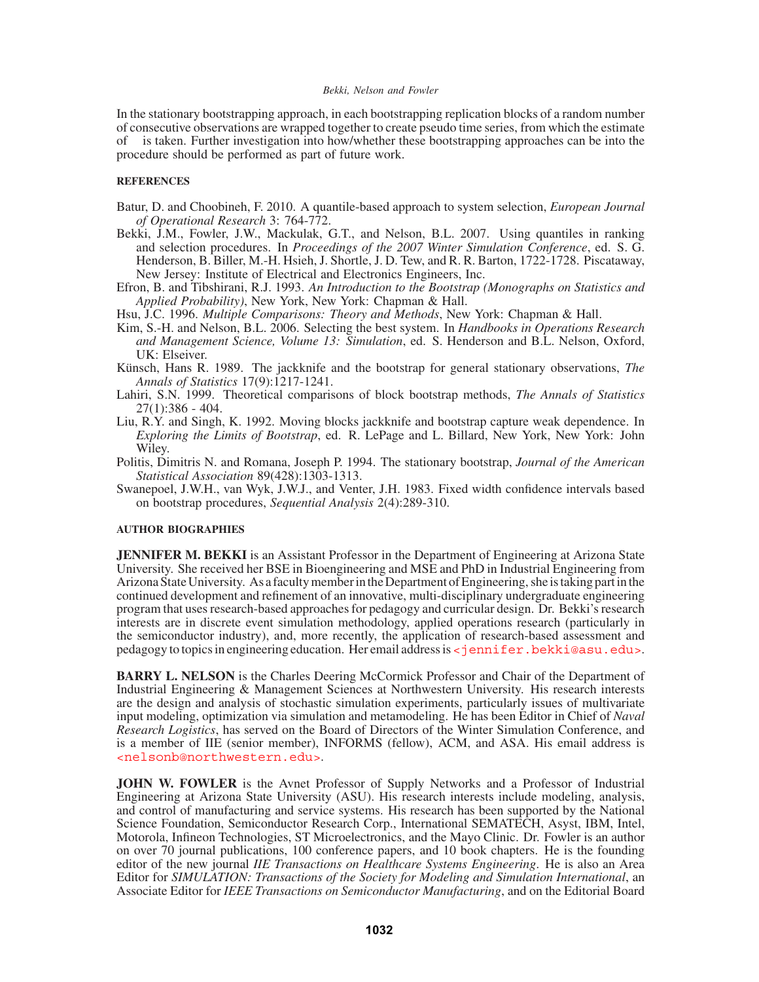In the stationary bootstrapping approach, in each bootstrapping replication blocks of a random number of consecutive observations are wrapped together to create pseudo time series, from which the estimate of  $\theta$  is taken. Further investigation into how/whether these bootstrapping approaches can be into the procedure should be performed as part of future work.

## **REFERENCES**

- Batur, D. and Choobineh, F. 2010. A quantile-based approach to system selection, *European Journal of Operational Research* 3: 764-772.
- Bekki, J.M., Fowler, J.W., Mackulak, G.T., and Nelson, B.L. 2007. Using quantiles in ranking and selection procedures. In *Proceedings of the 2007 Winter Simulation Conference*, ed. S. G. Henderson, B. Biller, M.-H. Hsieh, J. Shortle, J. D. Tew, and R. R. Barton, 1722-1728. Piscataway, New Jersey: Institute of Electrical and Electronics Engineers, Inc.
- Efron, B. and Tibshirani, R.J. 1993. *An Introduction to the Bootstrap (Monographs on Statistics and Applied Probability)*, New York, New York: Chapman & Hall.

Hsu, J.C. 1996. *Multiple Comparisons: Theory and Methods*, New York: Chapman & Hall.

- Kim, S.-H. and Nelson, B.L. 2006. Selecting the best system. In *Handbooks in Operations Research and Management Science, Volume 13: Simulation*, ed. S. Henderson and B.L. Nelson, Oxford, UK: Elseiver.
- Künsch, Hans R. 1989. The jackknife and the bootstrap for general stationary observations, The *Annals of Statistics* 17(9):1217-1241.
- Lahiri, S.N. 1999. Theoretical comparisons of block bootstrap methods, *The Annals of Statistics* 27(1):386 - 404.
- Liu, R.Y. and Singh, K. 1992. Moving blocks jackknife and bootstrap capture weak dependence. In *Exploring the Limits of Bootstrap*, ed. R. LePage and L. Billard, New York, New York: John Wiley.
- Politis, Dimitris N. and Romana, Joseph P. 1994. The stationary bootstrap, *Journal of the American Statistical Association* 89(428):1303-1313.
- Swanepoel, J.W.H., van Wyk, J.W.J., and Venter, J.H. 1983. Fixed width confidence intervals based on bootstrap procedures, *Sequential Analysis* 2(4):289-310.

### **AUTHOR BIOGRAPHIES**

**JENNIFER M. BEKKI** is an Assistant Professor in the Department of Engineering at Arizona State University. She received her BSE in Bioengineering and MSE and PhD in Industrial Engineering from Arizona State University. As a faculty member in the Department of Engineering, she is taking part in the continued development and refinement of an innovative, multi-disciplinary undergraduate engineering program that uses research-based approaches for pedagogy and curricular design. Dr. Bekki's research interests are in discrete event simulation methodology, applied operations research (particularly in the semiconductor industry), and, more recently, the application of research-based assessment and pedagogy to topics in engineering education. Her email address is  $\leq$  jennifer. bekki@asu.edu>.

**BARRY L. NELSON** is the Charles Deering McCormick Professor and Chair of the Department of Industrial Engineering & Management Sciences at Northwestern University. His research interests are the design and analysis of stochastic simulation experiments, particularly issues of multivariate input modeling, optimization via simulation and metamodeling. He has been Editor in Chief of *Naval Research Logistics*, has served on the Board of Directors of the Winter Simulation Conference, and is a member of IIE (senior member), INFORMS (fellow), ACM, and ASA. His email address is <nelsonb@northwestern.edu>.

**JOHN W. FOWLER** is the Avnet Professor of Supply Networks and a Professor of Industrial Engineering at Arizona State University (ASU). His research interests include modeling, analysis, and control of manufacturing and service systems. His research has been supported by the National Science Foundation, Semiconductor Research Corp., International SEMATECH, Asyst, IBM, Intel, Motorola, Infineon Technologies, ST Microelectronics, and the Mayo Clinic. Dr. Fowler is an author on over 70 journal publications, 100 conference papers, and 10 book chapters. He is the founding editor of the new journal *IIE Transactions on Healthcare Systems Engineering*. He is also an Area Editor for *SIMULATION: Transactions of the Society for Modeling and Simulation International*, an Associate Editor for *IEEE Transactions on Semiconductor Manufacturing*, and on the Editorial Board